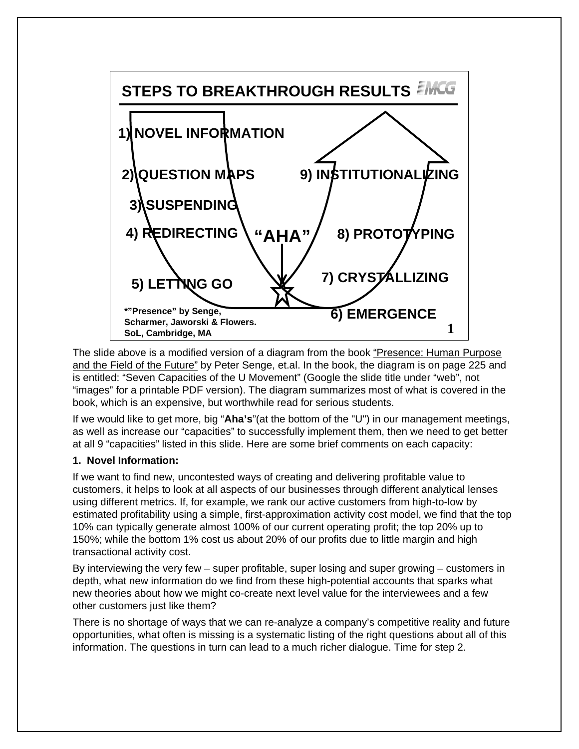

The slide above is a modified version of a diagram from the book "Presence: Human Purpose and the Field of the Future" by Peter Senge, et.al. In the book, the diagram is on page 225 and is entitled: "Seven Capacities of the U Movement" (Google the slide title under "web", not "images" for a printable PDF version). The diagram summarizes most of what is covered in the book, which is an expensive, but worthwhile read for serious students.

If we would like to get more, big "**Aha's**"(at the bottom of the "U") in our management meetings, as well as increase our "capacities" to successfully implement them, then we need to get better at all 9 "capacities" listed in this slide. Here are some brief comments on each capacity:

## **1. Novel Information:**

If we want to find new, uncontested ways of creating and delivering profitable value to customers, it helps to look at all aspects of our businesses through different analytical lenses using different metrics. If, for example, we rank our active customers from high-to-low by estimated profitability using a simple, first-approximation activity cost model, we find that the top 10% can typically generate almost 100% of our current operating profit; the top 20% up to 150%; while the bottom 1% cost us about 20% of our profits due to little margin and high transactional activity cost.

By interviewing the very few – super profitable, super losing and super growing – customers in depth, what new information do we find from these high-potential accounts that sparks what new theories about how we might co-create next level value for the interviewees and a few other customers just like them?

There is no shortage of ways that we can re-analyze a company's competitive reality and future opportunities, what often is missing is a systematic listing of the right questions about all of this information. The questions in turn can lead to a much richer dialogue. Time for step 2.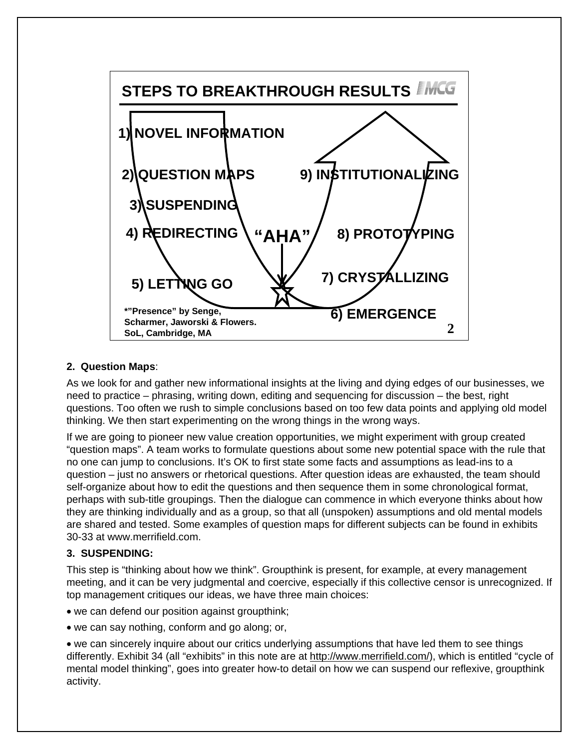

## **2. Question Maps**:

As we look for and gather new informational insights at the living and dying edges of our businesses, we need to practice – phrasing, writing down, editing and sequencing for discussion – the best, right questions. Too often we rush to simple conclusions based on too few data points and applying old model thinking. We then start experimenting on the wrong things in the wrong ways.

If we are going to pioneer new value creation opportunities, we might experiment with group created "question maps". A team works to formulate questions about some new potential space with the rule that no one can jump to conclusions. It's OK to first state some facts and assumptions as lead-ins to a question – just no answers or rhetorical questions. After question ideas are exhausted, the team should self-organize about how to edit the questions and then sequence them in some chronological format, perhaps with sub-title groupings. Then the dialogue can commence in which everyone thinks about how they are thinking individually and as a group, so that all (unspoken) assumptions and old mental models are shared and tested. Some examples of question maps for different subjects can be found in exhibits 30-33 at www.merrifield.com.

## **3. SUSPENDING:**

This step is "thinking about how we think". Groupthink is present, for example, at every management meeting, and it can be very judgmental and coercive, especially if this collective censor is unrecognized. If top management critiques our ideas, we have three main choices:

- we can defend our position against groupthink;
- we can say nothing, conform and go along; or,

• we can sincerely inquire about our critics underlying assumptions that have led them to see things differently. Exhibit 34 (all "exhibits" in this note are at http://www.merrifield.com/), which is entitled "cycle of mental model thinking", goes into greater how-to detail on how we can suspend our reflexive, groupthink activity.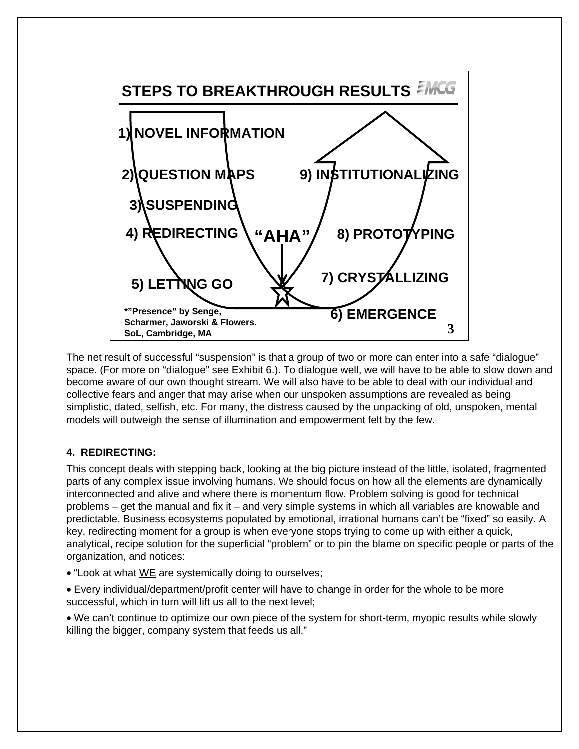

The net result of successful "suspension" is that a group of two or more can enter into a safe "dialogue" space. (For more on "dialogue" see Exhibit 6.). To dialogue well, we will have to be able to slow down and become aware of our own thought stream. We will also have to be able to deal with our individual and collective fears and anger that may arise when our unspoken assumptions are revealed as being simplistic, dated, selfish, etc. For many, the distress caused by the unpacking of old, unspoken, mental models will outweigh the sense of illumination and empowerment felt by the few.

# **4. REDIRECTING:**

This concept deals with stepping back, looking at the big picture instead of the little, isolated, fragmented parts of any complex issue involving humans. We should focus on how all the elements are dynamically interconnected and alive and where there is momentum flow. Problem solving is good for technical problems – get the manual and fix it – and very simple systems in which all variables are knowable and predictable. Business ecosystems populated by emotional, irrational humans can't be "fixed" so easily. A key, redirecting moment for a group is when everyone stops trying to come up with either a quick, analytical, recipe solution for the superficial "problem" or to pin the blame on specific people or parts of the organization, and notices:

- "Look at what WE are systemically doing to ourselves;
- Every individual/department/profit center will have to change in order for the whole to be more successful, which in turn will lift us all to the next level;
- We can't continue to optimize our own piece of the system for short-term, myopic results while slowly killing the bigger, company system that feeds us all."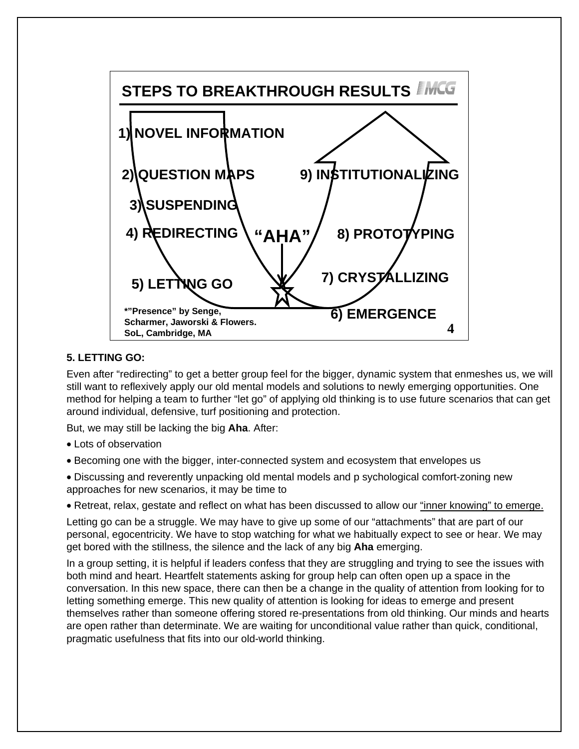

## **5. LETTING GO:**

Even after "redirecting" to get a better group feel for the bigger, dynamic system that enmeshes us, we will still want to reflexively apply our old mental models and solutions to newly emerging opportunities. One method for helping a team to further "let go" of applying old thinking is to use future scenarios that can get around individual, defensive, turf positioning and protection.

But, we may still be lacking the big **Aha**. After:

- Lots of observation
- Becoming one with the bigger, inter-connected system and ecosystem that envelopes us
- Discussing and reverently unpacking old mental models and p sychological comfort-zoning new approaches for new scenarios, it may be time to
- Retreat, relax, gestate and reflect on what has been discussed to allow our "inner knowing" to emerge.

Letting go can be a struggle. We may have to give up some of our "attachments" that are part of our personal, egocentricity. We have to stop watching for what we habitually expect to see or hear. We may get bored with the stillness, the silence and the lack of any big **Aha** emerging.

In a group setting, it is helpful if leaders confess that they are struggling and trying to see the issues with both mind and heart. Heartfelt statements asking for group help can often open up a space in the conversation. In this new space, there can then be a change in the quality of attention from looking for to letting something emerge. This new quality of attention is looking for ideas to emerge and present themselves rather than someone offering stored re-presentations from old thinking. Our minds and hearts are open rather than determinate. We are waiting for unconditional value rather than quick, conditional, pragmatic usefulness that fits into our old-world thinking.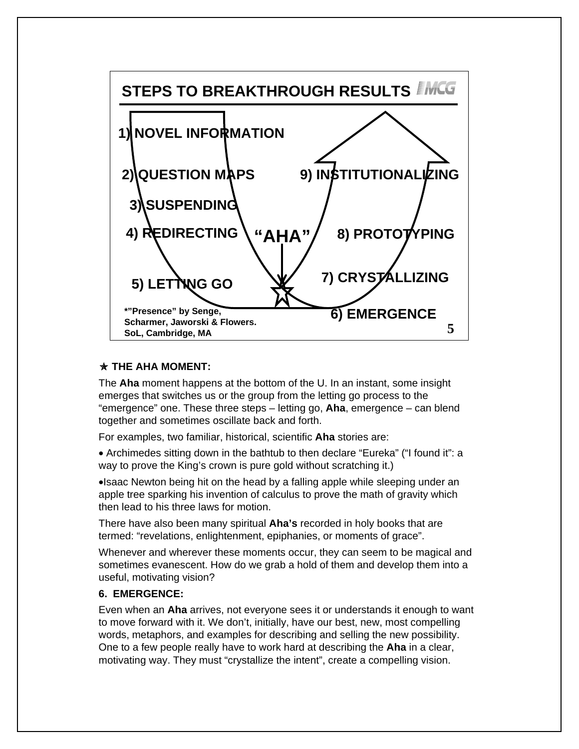

#### z **THE AHA MOMENT:**

The **Aha** moment happens at the bottom of the U. In an instant, some insight emerges that switches us or the group from the letting go process to the "emergence" one. These three steps – letting go, **Aha**, emergence – can blend together and sometimes oscillate back and forth.

For examples, two familiar, historical, scientific **Aha** stories are:

• Archimedes sitting down in the bathtub to then declare "Eureka" ("I found it": a way to prove the King's crown is pure gold without scratching it.)

•Isaac Newton being hit on the head by a falling apple while sleeping under an apple tree sparking his invention of calculus to prove the math of gravity which then lead to his three laws for motion.

There have also been many spiritual **Aha's** recorded in holy books that are termed: "revelations, enlightenment, epiphanies, or moments of grace".

Whenever and wherever these moments occur, they can seem to be magical and sometimes evanescent. How do we grab a hold of them and develop them into a useful, motivating vision?

## **6. EMERGENCE:**

Even when an **Aha** arrives, not everyone sees it or understands it enough to want to move forward with it. We don't, initially, have our best, new, most compelling words, metaphors, and examples for describing and selling the new possibility. One to a few people really have to work hard at describing the **Aha** in a clear, motivating way. They must "crystallize the intent", create a compelling vision.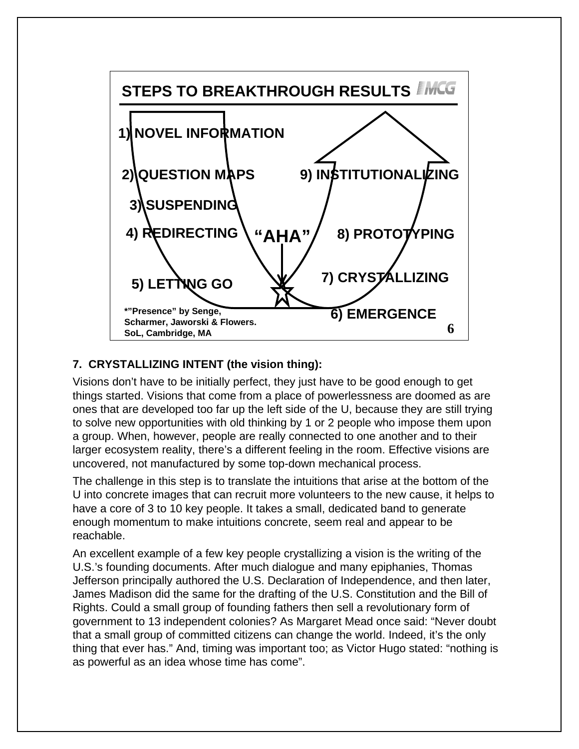

# **7. CRYSTALLIZING INTENT (the vision thing):**

Visions don't have to be initially perfect, they just have to be good enough to get things started. Visions that come from a place of powerlessness are doomed as are ones that are developed too far up the left side of the U, because they are still trying to solve new opportunities with old thinking by 1 or 2 people who impose them upon a group. When, however, people are really connected to one another and to their larger ecosystem reality, there's a different feeling in the room. Effective visions are uncovered, not manufactured by some top-down mechanical process.

The challenge in this step is to translate the intuitions that arise at the bottom of the U into concrete images that can recruit more volunteers to the new cause, it helps to have a core of 3 to 10 key people. It takes a small, dedicated band to generate enough momentum to make intuitions concrete, seem real and appear to be reachable.

An excellent example of a few key people crystallizing a vision is the writing of the U.S.'s founding documents. After much dialogue and many epiphanies, Thomas Jefferson principally authored the U.S. Declaration of Independence, and then later, James Madison did the same for the drafting of the U.S. Constitution and the Bill of Rights. Could a small group of founding fathers then sell a revolutionary form of government to 13 independent colonies? As Margaret Mead once said: "Never doubt that a small group of committed citizens can change the world. Indeed, it's the only thing that ever has." And, timing was important too; as Victor Hugo stated: "nothing is as powerful as an idea whose time has come".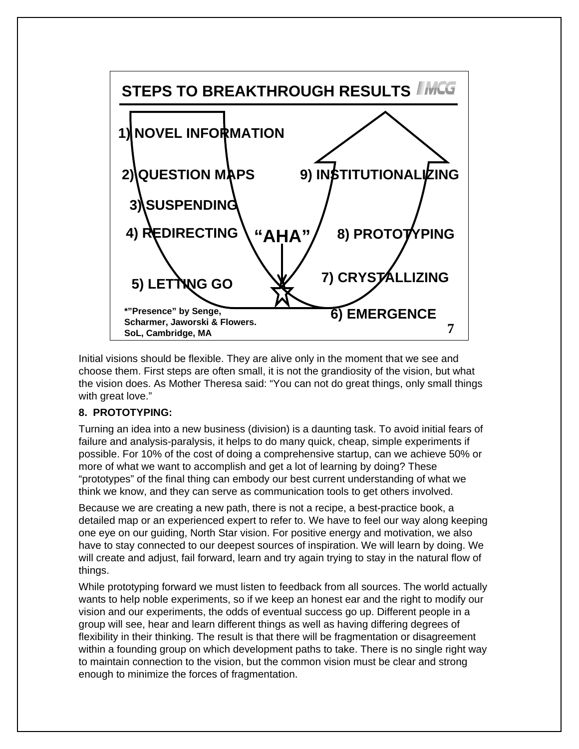

Initial visions should be flexible. They are alive only in the moment that we see and choose them. First steps are often small, it is not the grandiosity of the vision, but what the vision does. As Mother Theresa said: "You can not do great things, only small things with great love."

#### **8. PROTOTYPING:**

Turning an idea into a new business (division) is a daunting task. To avoid initial fears of failure and analysis-paralysis, it helps to do many quick, cheap, simple experiments if possible. For 10% of the cost of doing a comprehensive startup, can we achieve 50% or more of what we want to accomplish and get a lot of learning by doing? These "prototypes" of the final thing can embody our best current understanding of what we think we know, and they can serve as communication tools to get others involved.

Because we are creating a new path, there is not a recipe, a best-practice book, a detailed map or an experienced expert to refer to. We have to feel our way along keeping one eye on our guiding, North Star vision. For positive energy and motivation, we also have to stay connected to our deepest sources of inspiration. We will learn by doing. We will create and adjust, fail forward, learn and try again trying to stay in the natural flow of things.

While prototyping forward we must listen to feedback from all sources. The world actually wants to help noble experiments, so if we keep an honest ear and the right to modify our vision and our experiments, the odds of eventual success go up. Different people in a group will see, hear and learn different things as well as having differing degrees of flexibility in their thinking. The result is that there will be fragmentation or disagreement within a founding group on which development paths to take. There is no single right way to maintain connection to the vision, but the common vision must be clear and strong enough to minimize the forces of fragmentation.